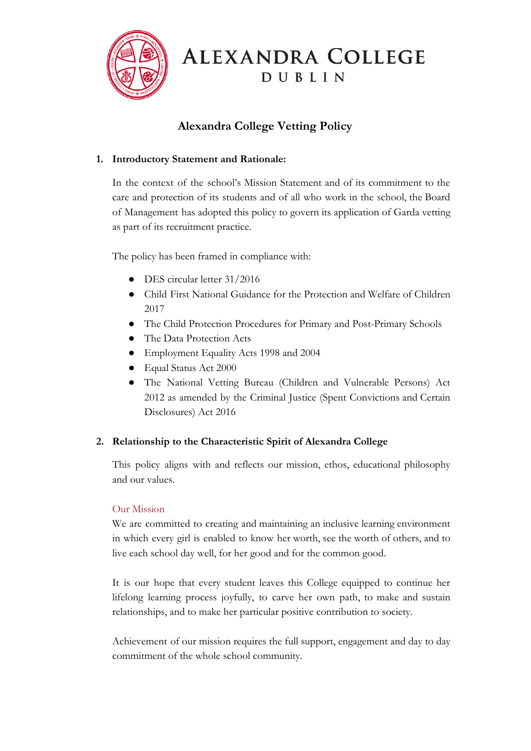

# ALEXANDRA COLLEGE DUBLIN

## **Alexandra College Vetting Policy**

## **1. Introductory Statement and Rationale:**

In the context of the school's Mission Statement and of its commitment to the care and protection of its students and of all who work in the school, the Board of Management has adopted this policy to govern its application of Garda vetting as part of its recruitment practice.

The policy has been framed in compliance with:

- DES circular letter 31/2016
- Child First National Guidance for the Protection and Welfare of Children 2017
- The Child Protection Procedures for Primary and Post-Primary Schools
- The Data Protection Acts
- Employment Equality Acts 1998 and 2004
- Equal Status Act 2000
- The National Vetting Bureau (Children and Vulnerable Persons) Act 2012 as amended by the Criminal Justice (Spent Convictions and Certain Disclosures) Act 2016

## **2. Relationship to the Characteristic Spirit of Alexandra College**

This policy aligns with and reflects our mission, ethos, educational philosophy and our values.

## Our Mission

We are committed to creating and maintaining an inclusive learning environment in which every girl is enabled to know her worth, see the worth of others, and to live each school day well, for her good and for the common good.

It is our hope that every student leaves this College equipped to continue her lifelong learning process joyfully, to carve her own path, to make and sustain relationships, and to make her particular positive contribution to society.

Achievement of our mission requires the full support, engagement and day to day commitment of the whole school community.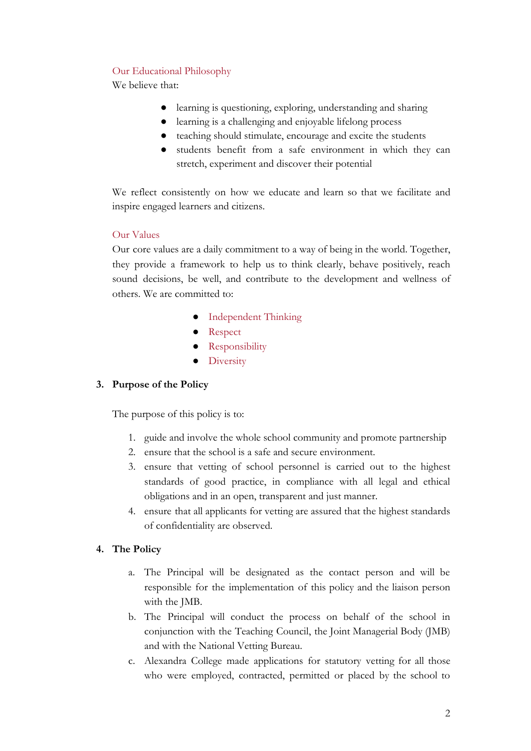## Our Educational Philosophy

We believe that:

- learning is questioning, exploring, understanding and sharing
- learning is a challenging and enjoyable lifelong process
- teaching should stimulate, encourage and excite the students
- students benefit from a safe environment in which they can stretch, experiment and discover their potential

We reflect consistently on how we educate and learn so that we facilitate and inspire engaged learners and citizens.

## Our Values

Our core values are a daily commitment to a way of being in the world. Together, they provide a framework to help us to think clearly, behave positively, reach sound decisions, be well, and contribute to the development and wellness of others. We are committed to:

- Independent Thinking
- Respect
- Responsibility
- Diversity

## **3. Purpose of the Policy**

The purpose of this policy is to:

- 1. guide and involve the whole school community and promote partnership
- 2. ensure that the school is a safe and secure environment.
- 3. ensure that vetting of school personnel is carried out to the highest standards of good practice, in compliance with all legal and ethical obligations and in an open, transparent and just manner.
- 4. ensure that all applicants for vetting are assured that the highest standards of confidentiality are observed.

## **4. The Policy**

- a. The Principal will be designated as the contact person and will be responsible for the implementation of this policy and the liaison person with the JMB.
- b. The Principal will conduct the process on behalf of the school in conjunction with the Teaching Council, the Joint Managerial Body (JMB) and with the National Vetting Bureau.
- c. Alexandra College made applications for statutory vetting for all those who were employed, contracted, permitted or placed by the school to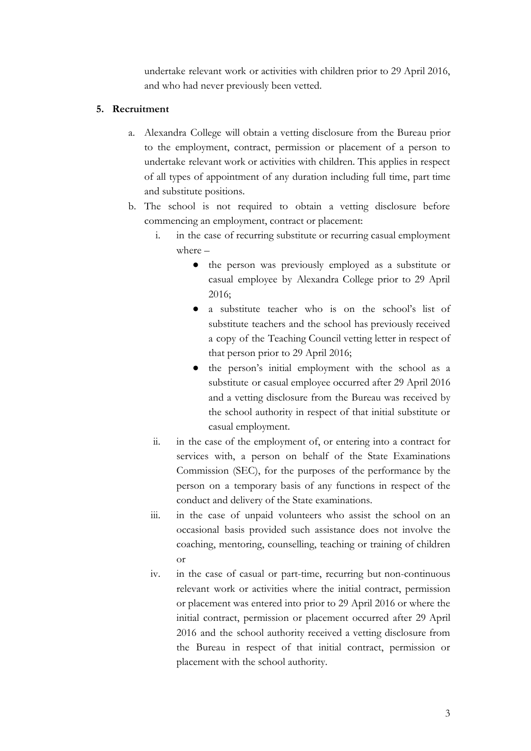undertake relevant work or activities with children prior to 29 April 2016, and who had never previously been vetted.

## **5. Recruitment**

- a. Alexandra College will obtain a vetting disclosure from the Bureau prior to the employment, contract, permission or placement of a person to undertake relevant work or activities with children. This applies in respect of all types of appointment of any duration including full time, part time and substitute positions.
- b. The school is not required to obtain a vetting disclosure before commencing an employment, contract or placement:
	- i. in the case of recurring substitute or recurring casual employment where –
		- the person was previously employed as a substitute or casual employee by Alexandra College prior to 29 April 2016;
		- a substitute teacher who is on the school's list of substitute teachers and the school has previously received a copy of the Teaching Council vetting letter in respect of that person prior to 29 April 2016;
		- the person's initial employment with the school as a substitute or casual employee occurred after 29 April 2016 and a vetting disclosure from the Bureau was received by the school authority in respect of that initial substitute or casual employment.
	- ii. in the case of the employment of, or entering into a contract for services with, a person on behalf of the State Examinations Commission (SEC), for the purposes of the performance by the person on a temporary basis of any functions in respect of the conduct and delivery of the State examinations.
	- iii. in the case of unpaid volunteers who assist the school on an occasional basis provided such assistance does not involve the coaching, mentoring, counselling, teaching or training of children or
	- iv. in the case of casual or part-time, recurring but non-continuous relevant work or activities where the initial contract, permission or placement was entered into prior to 29 April 2016 or where the initial contract, permission or placement occurred after 29 April 2016 and the school authority received a vetting disclosure from the Bureau in respect of that initial contract, permission or placement with the school authority.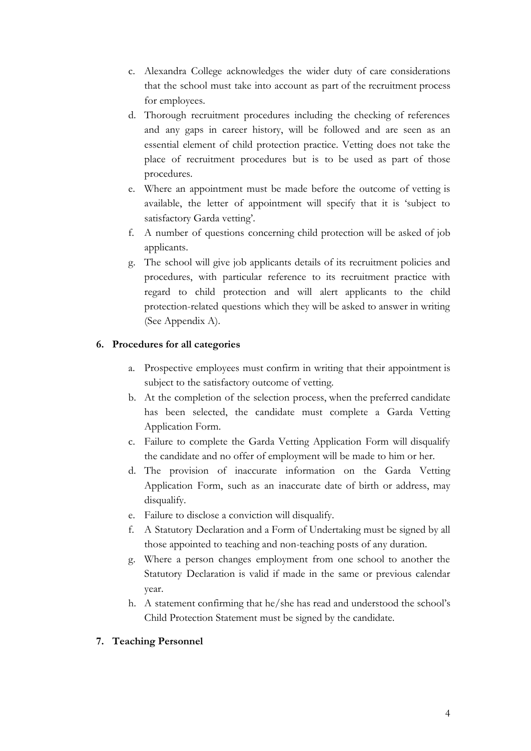- c. Alexandra College acknowledges the wider duty of care considerations that the school must take into account as part of the recruitment process for employees.
- d. Thorough recruitment procedures including the checking of references and any gaps in career history, will be followed and are seen as an essential element of child protection practice. Vetting does not take the place of recruitment procedures but is to be used as part of those procedures.
- e. Where an appointment must be made before the outcome of vetting is available, the letter of appointment will specify that it is 'subject to satisfactory Garda vetting'.
- f. A number of questions concerning child protection will be asked of job applicants.
- g. The school will give job applicants details of its recruitment policies and procedures, with particular reference to its recruitment practice with regard to child protection and will alert applicants to the child protection-related questions which they will be asked to answer in writing (See Appendix A).

## **6. Procedures for all categories**

- a. Prospective employees must confirm in writing that their appointment is subject to the satisfactory outcome of vetting.
- b. At the completion of the selection process, when the preferred candidate has been selected, the candidate must complete a Garda Vetting Application Form.
- c. Failure to complete the Garda Vetting Application Form will disqualify the candidate and no offer of employment will be made to him or her.
- d. The provision of inaccurate information on the Garda Vetting Application Form, such as an inaccurate date of birth or address, may disqualify.
- e. Failure to disclose a conviction will disqualify.
- f. A Statutory Declaration and a Form of Undertaking must be signed by all those appointed to teaching and non-teaching posts of any duration.
- g. Where a person changes employment from one school to another the Statutory Declaration is valid if made in the same or previous calendar year.
- h. A statement confirming that he/she has read and understood the school's Child Protection Statement must be signed by the candidate.

## **7. Teaching Personnel**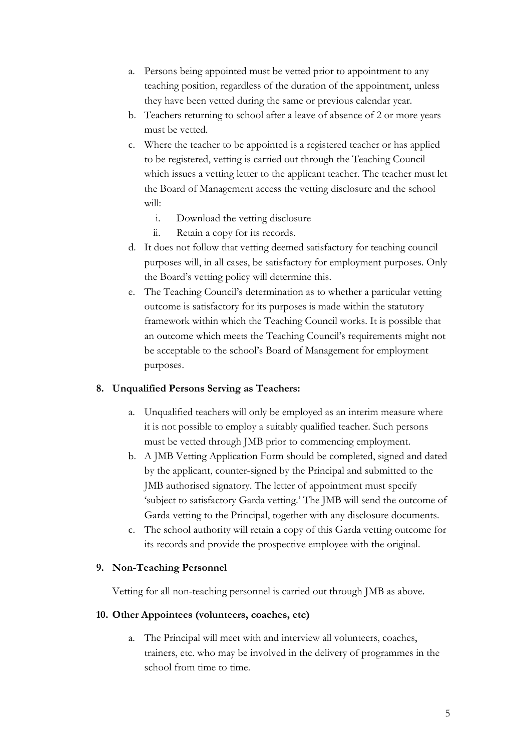- a. Persons being appointed must be vetted prior to appointment to any teaching position, regardless of the duration of the appointment, unless they have been vetted during the same or previous calendar year.
- b. Teachers returning to school after a leave of absence of 2 or more years must be vetted.
- c. Where the teacher to be appointed is a registered teacher or has applied to be registered, vetting is carried out through the Teaching Council which issues a vetting letter to the applicant teacher. The teacher must let the Board of Management access the vetting disclosure and the school will:
	- i. Download the vetting disclosure
	- ii. Retain a copy for its records.
- d. It does not follow that vetting deemed satisfactory for teaching council purposes will, in all cases, be satisfactory for employment purposes. Only the Board's vetting policy will determine this.
- e. The Teaching Council's determination as to whether a particular vetting outcome is satisfactory for its purposes is made within the statutory framework within which the Teaching Council works. It is possible that an outcome which meets the Teaching Council's requirements might not be acceptable to the school's Board of Management for employment purposes.

#### **8. Unqualified Persons Serving as Teachers:**

- a. Unqualified teachers will only be employed as an interim measure where it is not possible to employ a suitably qualified teacher. Such persons must be vetted through JMB prior to commencing employment.
- b. A JMB Vetting Application Form should be completed, signed and dated by the applicant, counter-signed by the Principal and submitted to the JMB authorised signatory. The letter of appointment must specify 'subject to satisfactory Garda vetting.' The JMB will send the outcome of Garda vetting to the Principal, together with any disclosure documents.
- c. The school authority will retain a copy of this Garda vetting outcome for its records and provide the prospective employee with the original.

#### **9. Non-Teaching Personnel**

Vetting for all non-teaching personnel is carried out through JMB as above.

#### **10. Other Appointees (volunteers, coaches, etc)**

a. The Principal will meet with and interview all volunteers, coaches, trainers, etc. who may be involved in the delivery of programmes in the school from time to time.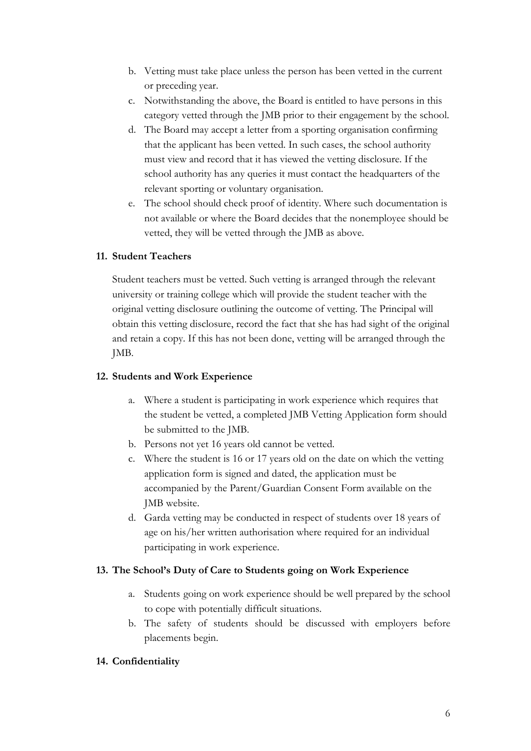- b. Vetting must take place unless the person has been vetted in the current or preceding year.
- c. Notwithstanding the above, the Board is entitled to have persons in this category vetted through the JMB prior to their engagement by the school.
- d. The Board may accept a letter from a sporting organisation confirming that the applicant has been vetted. In such cases, the school authority must view and record that it has viewed the vetting disclosure. If the school authority has any queries it must contact the headquarters of the relevant sporting or voluntary organisation.
- e. The school should check proof of identity. Where such documentation is not available or where the Board decides that the nonemployee should be vetted, they will be vetted through the JMB as above.

## **11. Student Teachers**

Student teachers must be vetted. Such vetting is arranged through the relevant university or training college which will provide the student teacher with the original vetting disclosure outlining the outcome of vetting. The Principal will obtain this vetting disclosure, record the fact that she has had sight of the original and retain a copy. If this has not been done, vetting will be arranged through the JMB.

#### **12. Students and Work Experience**

- a. Where a student is participating in work experience which requires that the student be vetted, a completed JMB Vetting Application form should be submitted to the JMB.
- b. Persons not yet 16 years old cannot be vetted.
- c. Where the student is 16 or 17 years old on the date on which the vetting application form is signed and dated, the application must be accompanied by the Parent/Guardian Consent Form available on the JMB website.
- d. Garda vetting may be conducted in respect of students over 18 years of age on his/her written authorisation where required for an individual participating in work experience.

## **13. The School's Duty of Care to Students going on Work Experience**

- a. Students going on work experience should be well prepared by the school to cope with potentially difficult situations.
- b. The safety of students should be discussed with employers before placements begin.

## **14. Confidentiality**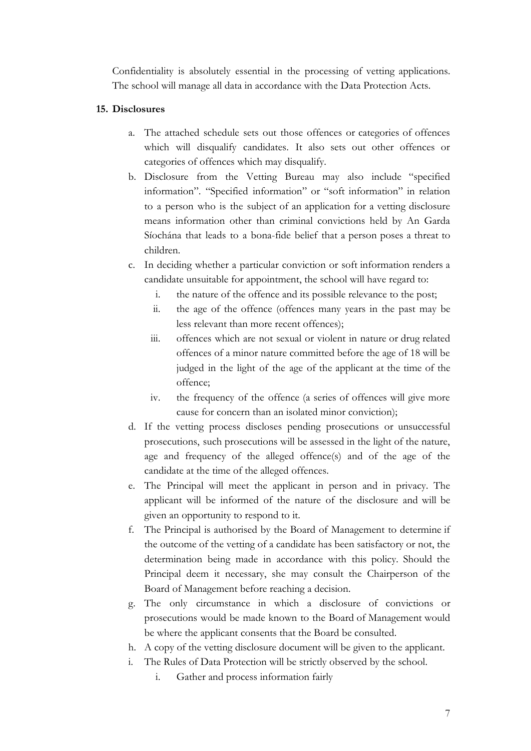Confidentiality is absolutely essential in the processing of vetting applications. The school will manage all data in accordance with the Data Protection Acts.

#### **15. Disclosures**

- a. The attached schedule sets out those offences or categories of offences which will disqualify candidates. It also sets out other offences or categories of offences which may disqualify.
- b. Disclosure from the Vetting Bureau may also include "specified information". "Specified information" or "soft information" in relation to a person who is the subject of an application for a vetting disclosure means information other than criminal convictions held by An Garda Síochána that leads to a bona-fide belief that a person poses a threat to children.
- c. In deciding whether a particular conviction or soft information renders a candidate unsuitable for appointment, the school will have regard to:
	- i. the nature of the offence and its possible relevance to the post;
	- ii. the age of the offence (offences many years in the past may be less relevant than more recent offences);
	- iii. offences which are not sexual or violent in nature or drug related offences of a minor nature committed before the age of 18 will be judged in the light of the age of the applicant at the time of the offence;
	- iv. the frequency of the offence (a series of offences will give more cause for concern than an isolated minor conviction);
- d. If the vetting process discloses pending prosecutions or unsuccessful prosecutions, such prosecutions will be assessed in the light of the nature, age and frequency of the alleged offence(s) and of the age of the candidate at the time of the alleged offences.
- e. The Principal will meet the applicant in person and in privacy. The applicant will be informed of the nature of the disclosure and will be given an opportunity to respond to it.
- f. The Principal is authorised by the Board of Management to determine if the outcome of the vetting of a candidate has been satisfactory or not, the determination being made in accordance with this policy. Should the Principal deem it necessary, she may consult the Chairperson of the Board of Management before reaching a decision.
- g. The only circumstance in which a disclosure of convictions or prosecutions would be made known to the Board of Management would be where the applicant consents that the Board be consulted.
- h. A copy of the vetting disclosure document will be given to the applicant.
- i. The Rules of Data Protection will be strictly observed by the school.
	- i. Gather and process information fairly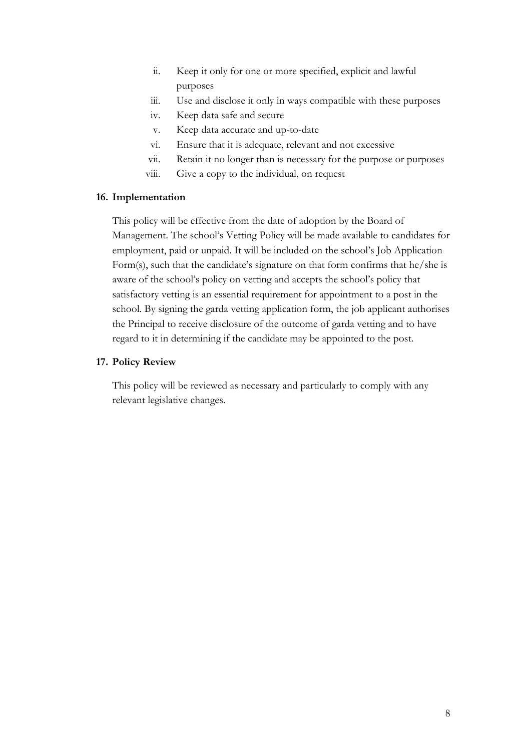- ii. Keep it only for one or more specified, explicit and lawful purposes
- iii. Use and disclose it only in ways compatible with these purposes
- iv. Keep data safe and secure
- v. Keep data accurate and up-to-date
- vi. Ensure that it is adequate, relevant and not excessive
- vii. Retain it no longer than is necessary for the purpose or purposes
- viii. Give a copy to the individual, on request

#### **16. Implementation**

This policy will be effective from the date of adoption by the Board of Management. The school's Vetting Policy will be made available to candidates for employment, paid or unpaid. It will be included on the school's Job Application Form(s), such that the candidate's signature on that form confirms that he/she is aware of the school's policy on vetting and accepts the school's policy that satisfactory vetting is an essential requirement for appointment to a post in the school. By signing the garda vetting application form, the job applicant authorises the Principal to receive disclosure of the outcome of garda vetting and to have regard to it in determining if the candidate may be appointed to the post.

#### **17. Policy Review**

This policy will be reviewed as necessary and particularly to comply with any relevant legislative changes.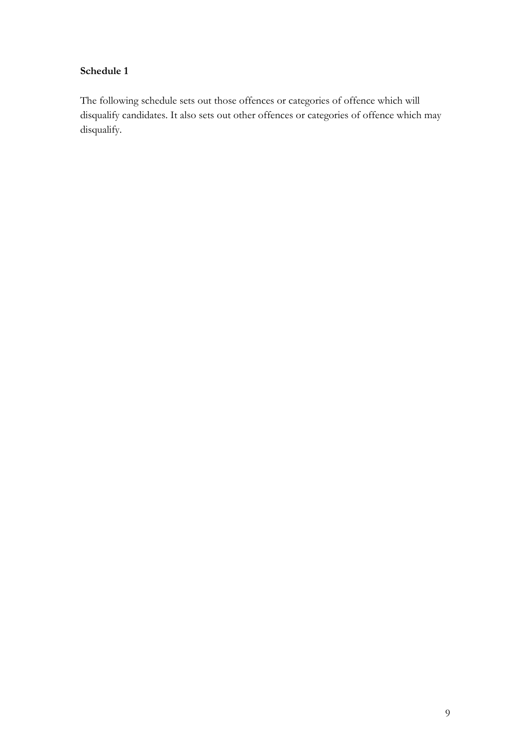## **Schedule 1**

The following schedule sets out those offences or categories of offence which will disqualify candidates. It also sets out other offences or categories of offence which may disqualify.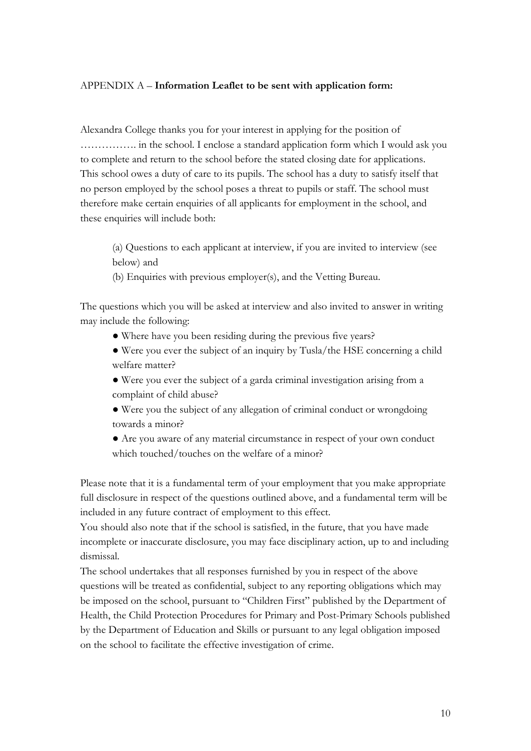#### APPENDIX A – **Information Leaflet to be sent with application form:**

Alexandra College thanks you for your interest in applying for the position of ……………. in the school. I enclose a standard application form which I would ask you to complete and return to the school before the stated closing date for applications. This school owes a duty of care to its pupils. The school has a duty to satisfy itself that no person employed by the school poses a threat to pupils or staff. The school must therefore make certain enquiries of all applicants for employment in the school, and these enquiries will include both:

(a) Questions to each applicant at interview, if you are invited to interview (see below) and

(b) Enquiries with previous employer(s), and the Vetting Bureau.

The questions which you will be asked at interview and also invited to answer in writing may include the following:

- Where have you been residing during the previous five years?
- Were you ever the subject of an inquiry by Tusla/the HSE concerning a child welfare matter?
- Were you ever the subject of a garda criminal investigation arising from a complaint of child abuse?
- Were you the subject of any allegation of criminal conduct or wrongdoing towards a minor?
- Are you aware of any material circumstance in respect of your own conduct which touched/touches on the welfare of a minor?

Please note that it is a fundamental term of your employment that you make appropriate full disclosure in respect of the questions outlined above, and a fundamental term will be included in any future contract of employment to this effect.

You should also note that if the school is satisfied, in the future, that you have made incomplete or inaccurate disclosure, you may face disciplinary action, up to and including dismissal.

The school undertakes that all responses furnished by you in respect of the above questions will be treated as confidential, subject to any reporting obligations which may be imposed on the school, pursuant to "Children First" published by the Department of Health, the Child Protection Procedures for Primary and Post-Primary Schools published by the Department of Education and Skills or pursuant to any legal obligation imposed on the school to facilitate the effective investigation of crime.